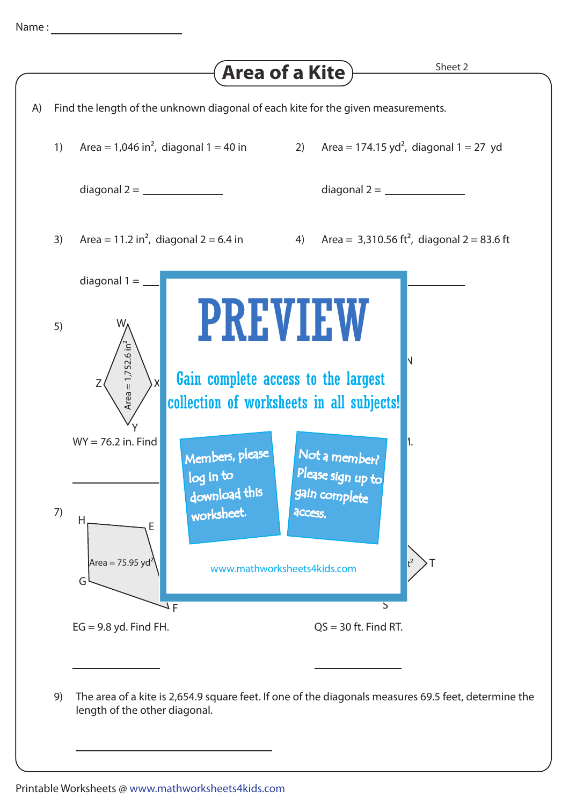